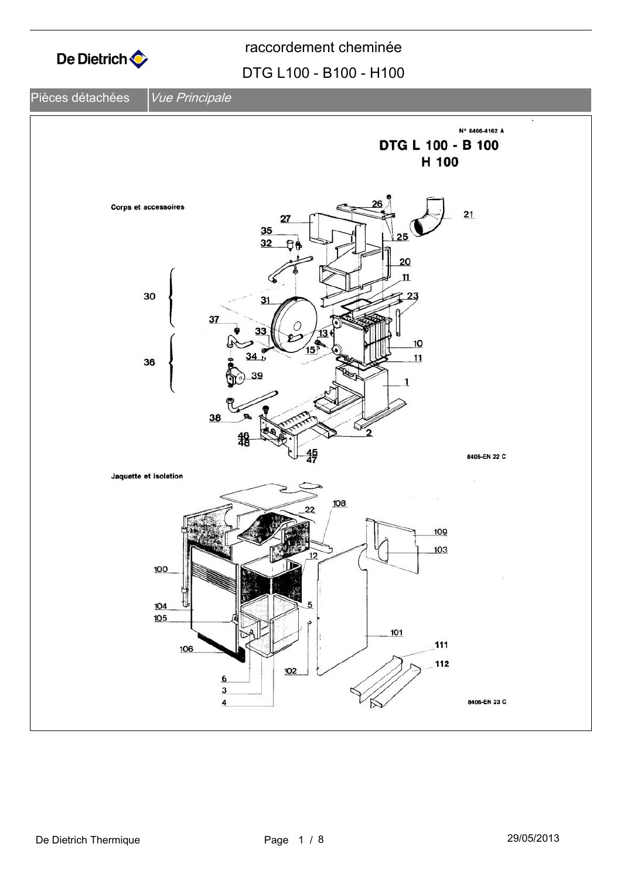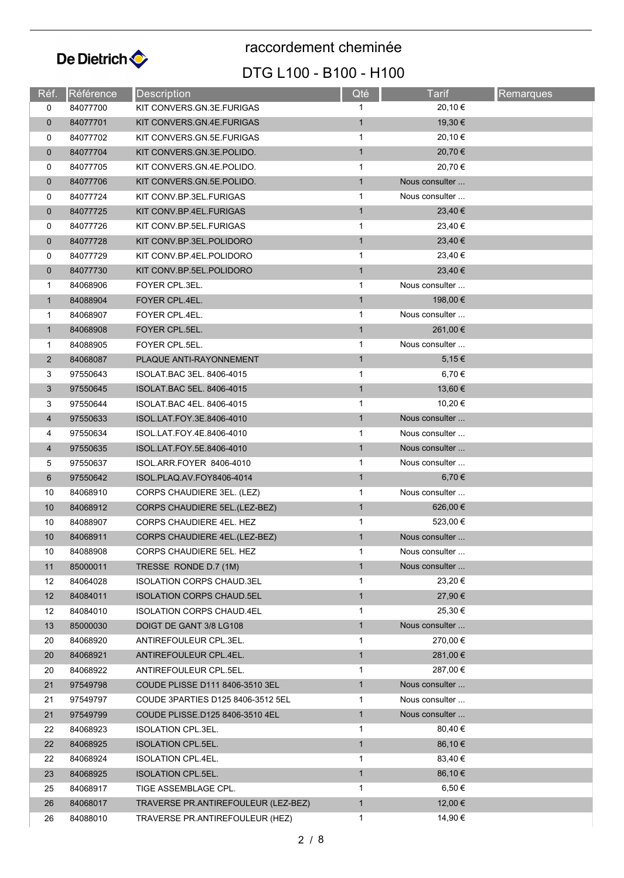

# DTG L100 - B100 - H100 raccordement cheminée

| Réf.           | Référence | Description                         | Qté          | <b>Tarif</b>   | Remarques |  |
|----------------|-----------|-------------------------------------|--------------|----------------|-----------|--|
| 0              | 84077700  | KIT CONVERS.GN.3E.FURIGAS           | 1            | 20,10 €        |           |  |
| $\mathbf 0$    | 84077701  | KIT CONVERS.GN.4E.FURIGAS           | $\mathbf{1}$ | 19,30 €        |           |  |
| 0              | 84077702  | KIT CONVERS GN.5E FURIGAS           | 1            | 20,10 €        |           |  |
| $\mathbf 0$    | 84077704  | KIT CONVERS GN.3E.POLIDO.           | $\mathbf{1}$ | 20,70 €        |           |  |
| 0              | 84077705  | KIT CONVERS GN.4E.POLIDO.           | 1            | 20,70 €        |           |  |
| $\mathbf 0$    | 84077706  | KIT CONVERS GN.5E.POLIDO.           | $\mathbf{1}$ | Nous consulter |           |  |
| 0              | 84077724  | KIT CONV.BP.3EL.FURIGAS             | 1            | Nous consulter |           |  |
| $\mathbf 0$    | 84077725  | KIT CONV.BP.4EL.FURIGAS             | $\mathbf{1}$ | 23,40 €        |           |  |
| 0              | 84077726  | KIT CONV.BP.5EL.FURIGAS             | 1            | 23,40 €        |           |  |
| $\mathbf 0$    | 84077728  | KIT CONV.BP.3EL.POLIDORO            | $\mathbf{1}$ | 23,40 €        |           |  |
| 0              | 84077729  | KIT CONV.BP.4EL.POLIDORO            | 1            | 23,40 €        |           |  |
| $\mathbf 0$    | 84077730  | KIT CONV.BP.5EL.POLIDORO            | $\mathbf{1}$ | 23,40 €        |           |  |
| 1              | 84068906  | FOYER CPL.3EL.                      | $\mathbf 1$  | Nous consulter |           |  |
| $\mathbf{1}$   | 84088904  | FOYER CPL.4EL.                      | $\mathbf{1}$ | 198,00 €       |           |  |
| 1              | 84068907  | FOYER CPL.4EL.                      | 1            | Nous consulter |           |  |
| $\mathbf{1}$   | 84068908  | FOYER CPL.5EL.                      | $\mathbf{1}$ | 261,00 €       |           |  |
| 1              | 84088905  | FOYER CPL.5EL.                      | 1            | Nous consulter |           |  |
| $\overline{2}$ | 84068087  | PLAQUE ANTI-RAYONNEMENT             | $\mathbf{1}$ | 5,15€          |           |  |
| 3              | 97550643  | ISOLAT BAC 3EL. 8406-4015           | 1            | 6,70 €         |           |  |
| 3              | 97550645  | ISOLAT BAC 5EL. 8406-4015           | $\mathbf{1}$ | 13,60 €        |           |  |
| 3              | 97550644  | ISOLAT BAC 4EL. 8406-4015           | 1            | 10,20 €        |           |  |
| 4              | 97550633  | ISOL.LAT.FOY.3E.8406-4010           | $\mathbf{1}$ | Nous consulter |           |  |
| 4              | 97550634  | ISOL.LAT.FOY.4E.8406-4010           | 1            | Nous consulter |           |  |
| 4              | 97550635  | ISOL.LAT.FOY.5E.8406-4010           | $\mathbf{1}$ | Nous consulter |           |  |
| 5              | 97550637  | ISOL.ARR.FOYER 8406-4010            | 1            | Nous consulter |           |  |
| 6              | 97550642  | ISOL.PLAQ.AV.FOY8406-4014           | $\mathbf{1}$ | 6,70 €         |           |  |
| 10             | 84068910  | CORPS CHAUDIERE 3EL. (LEZ)          | 1            | Nous consulter |           |  |
| 10             | 84068912  | CORPS CHAUDIERE 5EL.(LEZ-BEZ)       | $\mathbf{1}$ | 626,00 €       |           |  |
| 10             | 84088907  | CORPS CHAUDIERE 4EL. HEZ            | 1            | 523,00 €       |           |  |
| 10             | 84068911  | CORPS CHAUDIERE 4EL.(LEZ-BEZ)       | $\mathbf{1}$ | Nous consulter |           |  |
| 10             | 84088908  | CORPS CHAUDIERE 5EL. HEZ            |              | Nous consulter |           |  |
| 11             | 85000011  | TRESSE RONDE D.7 (1M)               | $\mathbf{1}$ | Nous consulter |           |  |
| 12             | 84064028  | <b>ISOLATION CORPS CHAUD.3EL</b>    | 1            | 23,20 €        |           |  |
| 12             | 84084011  | <b>ISOLATION CORPS CHAUD.5EL</b>    | $\mathbf{1}$ | 27,90 €        |           |  |
| 12             | 84084010  | <b>ISOLATION CORPS CHAUD.4EL</b>    | 1            | 25,30 €        |           |  |
| 13             | 85000030  | DOIGT DE GANT 3/8 LG108             | $\mathbf{1}$ | Nous consulter |           |  |
| 20             | 84068920  | ANTIREFOULEUR CPL.3EL.              | 1            | 270,00 €       |           |  |
| 20             | 84068921  | ANTIREFOULEUR CPL.4EL.              | $\mathbf{1}$ | 281,00 €       |           |  |
| 20             | 84068922  | ANTIREFOULEUR CPL.5EL.              | 1            | 287,00 €       |           |  |
| 21             | 97549798  | COUDE PLISSE D111 8406-3510 3EL     | $\mathbf{1}$ | Nous consulter |           |  |
| 21             | 97549797  | COUDE 3PARTIES D125 8406-3512 5EL   | 1            | Nous consulter |           |  |
| 21             | 97549799  | COUDE PLISSE.D125 8406-3510 4EL     | $\mathbf{1}$ | Nous consulter |           |  |
| 22             | 84068923  | <b>ISOLATION CPL.3EL.</b>           | $\mathbf 1$  | 80,40 €        |           |  |
| 22             | 84068925  | <b>ISOLATION CPL.5EL.</b>           | $\mathbf{1}$ | 86,10 €        |           |  |
| 22             | 84068924  | <b>ISOLATION CPL.4EL.</b>           | 1            | 83,40 €        |           |  |
| 23             | 84068925  | <b>ISOLATION CPL.5EL.</b>           | $\mathbf{1}$ | 86,10 €        |           |  |
| 25             | 84068917  | TIGE ASSEMBLAGE CPL.                | 1            | $6,50 \in$     |           |  |
| 26             | 84068017  | TRAVERSE PR.ANTIREFOULEUR (LEZ-BEZ) | $\mathbf{1}$ | 12,00 €        |           |  |
| 26             | 84088010  | TRAVERSE PR.ANTIREFOULEUR (HEZ)     | $\mathbf{1}$ | 14,90 €        |           |  |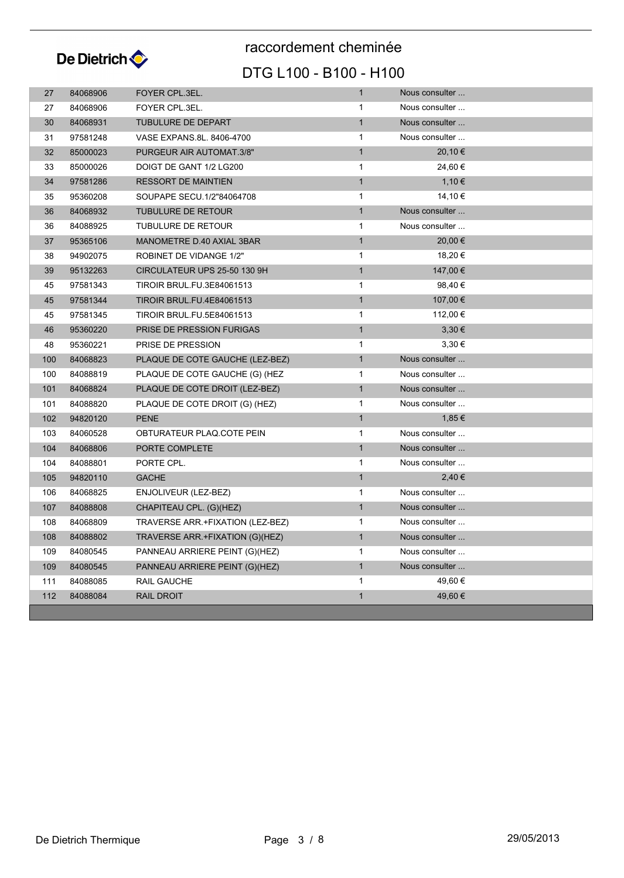

## DTG L100 - B100 - H100 raccordement cheminée

| 27  | 84068906 | FOYER CPL.3EL.                   | $\mathbf{1}$ | Nous consulter |
|-----|----------|----------------------------------|--------------|----------------|
| 27  | 84068906 | FOYER CPL.3EL.                   | $\mathbf{1}$ | Nous consulter |
| 30  | 84068931 | <b>TUBULURE DE DEPART</b>        | $\mathbf{1}$ | Nous consulter |
| 31  | 97581248 | VASE EXPANS.8L. 8406-4700        | $\mathbf{1}$ | Nous consulter |
| 32  | 85000023 | PURGEUR AIR AUTOMAT.3/8"         | $\mathbf{1}$ | 20,10 €        |
| 33  | 85000026 | DOIGT DE GANT 1/2 LG200          | $\mathbf{1}$ | 24,60 €        |
| 34  | 97581286 | <b>RESSORT DE MAINTIEN</b>       | $\mathbf{1}$ | 1,10€          |
| 35  | 95360208 | SOUPAPE SECU.1/2"84064708        | $\mathbf{1}$ | 14,10 €        |
| 36  | 84068932 | <b>TUBULURE DE RETOUR</b>        | $\mathbf{1}$ | Nous consulter |
| 36  | 84088925 | <b>TUBULURE DE RETOUR</b>        | $\mathbf{1}$ | Nous consulter |
| 37  | 95365106 | MANOMETRE D.40 AXIAL 3BAR        | $\mathbf{1}$ | 20,00 €        |
| 38  | 94902075 | ROBINET DE VIDANGE 1/2"          | $\mathbf{1}$ | 18,20 €        |
| 39  | 95132263 | CIRCULATEUR UPS 25-50 130 9H     | $\mathbf{1}$ | 147,00 €       |
| 45  | 97581343 | <b>TIROIR BRUL.FU.3E84061513</b> | $\mathbf{1}$ | 98,40 €        |
| 45  | 97581344 | <b>TIROIR BRUL.FU.4E84061513</b> | $\mathbf{1}$ | 107,00 €       |
| 45  | 97581345 | <b>TIROIR BRUL.FU.5E84061513</b> | $\mathbf{1}$ | 112,00 €       |
| 46  | 95360220 | PRISE DE PRESSION FURIGAS        | $\mathbf{1}$ | $3,30 \in$     |
| 48  | 95360221 | PRISE DE PRESSION                | $\mathbf{1}$ | $3,30 \in$     |
| 100 | 84068823 | PLAQUE DE COTE GAUCHE (LEZ-BEZ)  | $\mathbf{1}$ | Nous consulter |
| 100 | 84088819 | PLAQUE DE COTE GAUCHE (G) (HEZ   | $\mathbf{1}$ | Nous consulter |
| 101 | 84068824 | PLAQUE DE COTE DROIT (LEZ-BEZ)   | $\mathbf{1}$ | Nous consulter |
| 101 | 84088820 | PLAQUE DE COTE DROIT (G) (HEZ)   | $\mathbf{1}$ | Nous consulter |
| 102 | 94820120 | <b>PENE</b>                      | $\mathbf{1}$ | 1,85 €         |
| 103 | 84060528 | OBTURATEUR PLAQ.COTE PEIN        | $\mathbf{1}$ | Nous consulter |
| 104 | 84068806 | PORTE COMPLETE                   | $\mathbf{1}$ | Nous consulter |
| 104 | 84088801 | PORTE CPL.                       | $\mathbf{1}$ | Nous consulter |
| 105 | 94820110 | <b>GACHE</b>                     | $\mathbf{1}$ | 2,40 €         |
| 106 | 84068825 | ENJOLIVEUR (LEZ-BEZ)             | $\mathbf{1}$ | Nous consulter |
| 107 | 84088808 | CHAPITEAU CPL. (G)(HEZ)          | $\mathbf{1}$ | Nous consulter |
| 108 | 84068809 | TRAVERSE ARR.+FIXATION (LEZ-BEZ) | 1            | Nous consulter |
| 108 | 84088802 | TRAVERSE ARR.+FIXATION (G)(HEZ)  | $\mathbf{1}$ | Nous consulter |
| 109 | 84080545 | PANNEAU ARRIERE PEINT (G)(HEZ)   | $\mathbf{1}$ | Nous consulter |
| 109 | 84080545 | PANNEAU ARRIERE PEINT (G)(HEZ)   | $\mathbf{1}$ | Nous consulter |
| 111 | 84088085 | RAIL GAUCHE                      | $\mathbf{1}$ | 49,60 €        |
| 112 | 84088084 | <b>RAIL DROIT</b>                | $\mathbf{1}$ | 49,60 €        |
|     |          |                                  |              |                |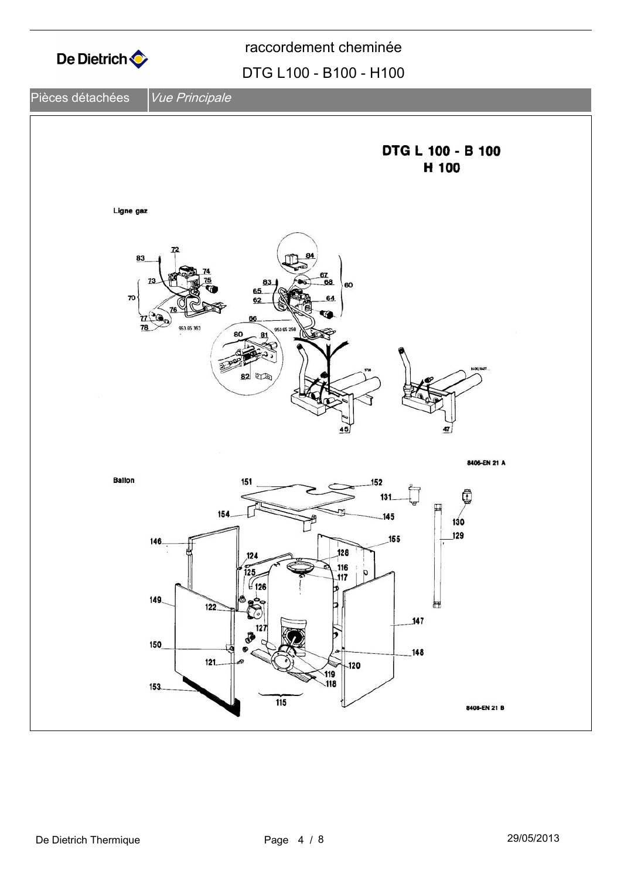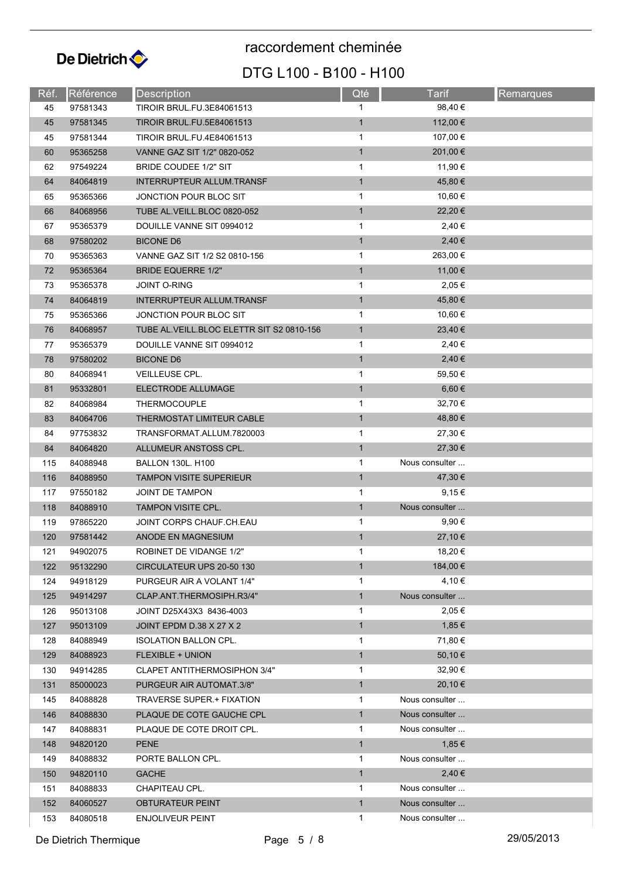

raccordement cheminée

### DTG L100 - B100 - H100

| Réf. | Référence | <b>Description</b>                          | Qté          | Tarif          | Remarques |  |  |
|------|-----------|---------------------------------------------|--------------|----------------|-----------|--|--|
| 45   | 97581343  | <b>TIROIR BRUL.FU.3E84061513</b>            | 1            | 98,40 €        |           |  |  |
| 45   | 97581345  | <b>TIROIR BRUL.FU.5E84061513</b>            | $\mathbf{1}$ | 112,00 €       |           |  |  |
| 45   | 97581344  | TIROIR BRUL.FU.4E84061513                   | 1            | 107,00 €       |           |  |  |
| 60   | 95365258  | VANNE GAZ SIT 1/2" 0820-052                 | $\mathbf{1}$ | 201,00 €       |           |  |  |
| 62   | 97549224  | BRIDE COUDEE 1/2" SIT                       | 1            | 11,90 €        |           |  |  |
| 64   | 84064819  | <b>INTERRUPTEUR ALLUM.TRANSF</b>            | $\mathbf{1}$ | 45,80 €        |           |  |  |
| 65   | 95365366  | JONCTION POUR BLOC SIT                      | $\mathbf{1}$ | 10,60 €        |           |  |  |
| 66   | 84068956  | TUBE AL. VEILL. BLOC 0820-052               | $\mathbf{1}$ | 22,20 €        |           |  |  |
| 67   | 95365379  | DOUILLE VANNE SIT 0994012                   | 1            | 2,40€          |           |  |  |
| 68   | 97580202  | <b>BICONE D6</b>                            | $\mathbf{1}$ | 2,40€          |           |  |  |
| 70   | 95365363  | VANNE GAZ SIT 1/2 S2 0810-156               | 1            | 263,00 €       |           |  |  |
| 72   | 95365364  | <b>BRIDE EQUERRE 1/2"</b>                   | $\mathbf{1}$ | 11,00 €        |           |  |  |
| 73   | 95365378  | <b>JOINT O-RING</b>                         | $\mathbf 1$  | 2,05 €         |           |  |  |
| 74   | 84064819  | <b>INTERRUPTEUR ALLUM.TRANSF</b>            | $\mathbf{1}$ | 45,80 €        |           |  |  |
| 75   | 95365366  | JONCTION POUR BLOC SIT                      | $\mathbf{1}$ | 10,60 €        |           |  |  |
| 76   | 84068957  | TUBE AL. VEILL. BLOC ELETTR SIT S2 0810-156 | $\mathbf{1}$ | 23,40 €        |           |  |  |
| 77   | 95365379  | DOUILLE VANNE SIT 0994012                   | $\mathbf{1}$ | 2,40 €         |           |  |  |
| 78   | 97580202  | <b>BICONE D6</b>                            | $\mathbf{1}$ | 2,40€          |           |  |  |
| 80   | 84068941  | VEILLEUSE CPL.                              | 1            | 59,50 €        |           |  |  |
| 81   | 95332801  | ELECTRODE ALLUMAGE                          | $\mathbf{1}$ | $6,60 \in$     |           |  |  |
| 82   | 84068984  | <b>THERMOCOUPLE</b>                         | $\mathbf{1}$ | 32,70 €        |           |  |  |
| 83   | 84064706  | THERMOSTAT LIMITEUR CABLE                   | $\mathbf{1}$ | 48,80 €        |           |  |  |
| 84   | 97753832  | TRANSFORMAT.ALLUM.7820003                   | 1            | 27,30 €        |           |  |  |
| 84   | 84064820  | ALLUMEUR ANSTOSS CPL.                       | $\mathbf{1}$ | 27,30 €        |           |  |  |
| 115  | 84088948  | <b>BALLON 130L. H100</b>                    | 1            | Nous consulter |           |  |  |
| 116  | 84088950  | <b>TAMPON VISITE SUPERIEUR</b>              | $\mathbf{1}$ | 47,30 €        |           |  |  |
| 117  | 97550182  | JOINT DE TAMPON                             | 1            | 9,15€          |           |  |  |
| 118  | 84088910  | <b>TAMPON VISITE CPL.</b>                   | $\mathbf{1}$ | Nous consulter |           |  |  |
| 119  | 97865220  | JOINT CORPS CHAUF CH.EAU                    | 1            | 9,90€          |           |  |  |
| 120  | 97581442  | ANODE EN MAGNESIUM                          | $\mathbf{1}$ | $27,10 \in$    |           |  |  |
| 121  | 94902075  | ROBINET DE VIDANGE 1/2"                     | 1            | 18,20 €        |           |  |  |
| 122  | 95132290  | CIRCULATEUR UPS 20-50 130                   | $\mathbf{1}$ | 184,00 €       |           |  |  |
| 124  | 94918129  | PURGEUR AIR A VOLANT 1/4"                   | $\mathbf{1}$ | 4,10 €         |           |  |  |
| 125  | 94914297  | CLAP.ANT.THERMOSIPH.R3/4"                   | $\mathbf{1}$ | Nous consulter |           |  |  |
| 126  | 95013108  | JOINT D25X43X3 8436-4003                    | $\mathbf{1}$ | 2,05€          |           |  |  |
| 127  | 95013109  | JOINT EPDM D.38 X 27 X 2                    | $\mathbf{1}$ | 1,85€          |           |  |  |
| 128  | 84088949  | <b>ISOLATION BALLON CPL.</b>                | $\mathbf{1}$ | 71,80 €        |           |  |  |
| 129  | 84088923  | <b>FLEXIBLE + UNION</b>                     | $\mathbf{1}$ | 50,10 €        |           |  |  |
| 130  | 94914285  | CLAPET ANTITHERMOSIPHON 3/4"                | $\mathbf{1}$ | 32,90 €        |           |  |  |
| 131  | 85000023  | PURGEUR AIR AUTOMAT.3/8"                    | $\mathbf{1}$ | 20,10 €        |           |  |  |
| 145  | 84088828  | <b>TRAVERSE SUPER.+ FIXATION</b>            | $\mathbf{1}$ | Nous consulter |           |  |  |
| 146  | 84088830  | PLAQUE DE COTE GAUCHE CPL                   | $\mathbf{1}$ | Nous consulter |           |  |  |
| 147  | 84088831  | PLAQUE DE COTE DROIT CPL.                   | $\mathbf{1}$ | Nous consulter |           |  |  |
| 148  | 94820120  | <b>PENE</b>                                 | $\mathbf{1}$ | 1,85€          |           |  |  |
| 149  | 84088832  | PORTE BALLON CPL.                           | 1            | Nous consulter |           |  |  |
| 150  | 94820110  | <b>GACHE</b>                                | $\mathbf{1}$ | 2,40€          |           |  |  |
| 151  | 84088833  | CHAPITEAU CPL.                              | $\mathbf{1}$ | Nous consulter |           |  |  |
| 152  | 84060527  | OBTURATEUR PEINT                            | $\mathbf{1}$ | Nous consulter |           |  |  |
| 153  | 84080518  | <b>ENJOLIVEUR PEINT</b>                     | 1            | Nous consulter |           |  |  |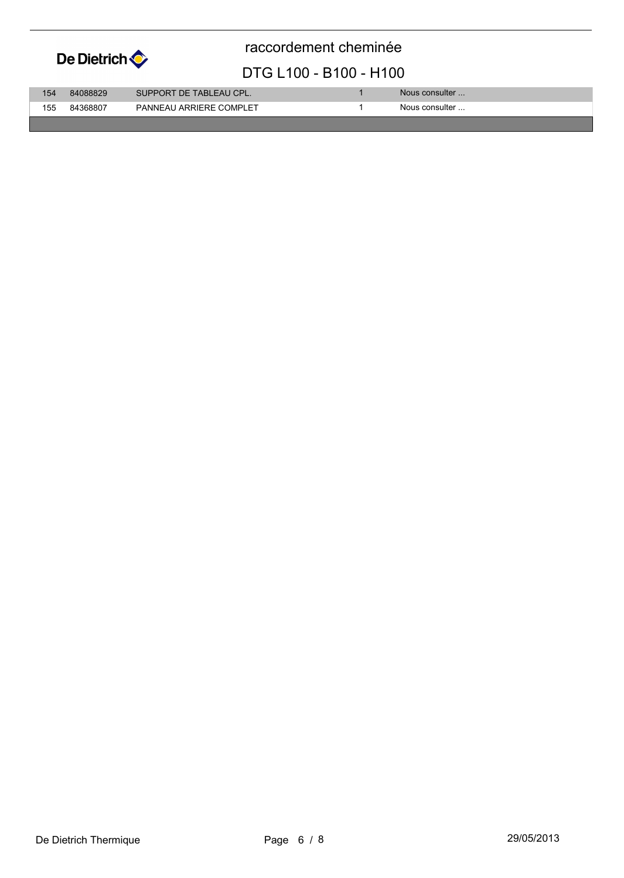

raccordement cheminée

#### DTG L100 - B100 - H100

| 154 | 84088829 | SUPPORT DE TABLEAU CPL. | Nous consulter |
|-----|----------|-------------------------|----------------|
| 155 | 84368807 | PANNEAU ARRIERE COMPLET | Nous consulter |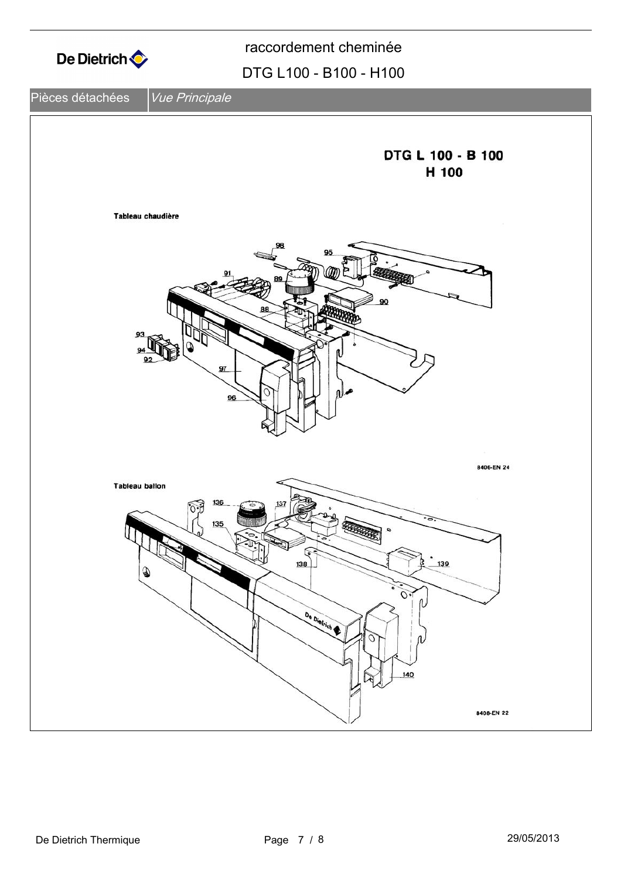